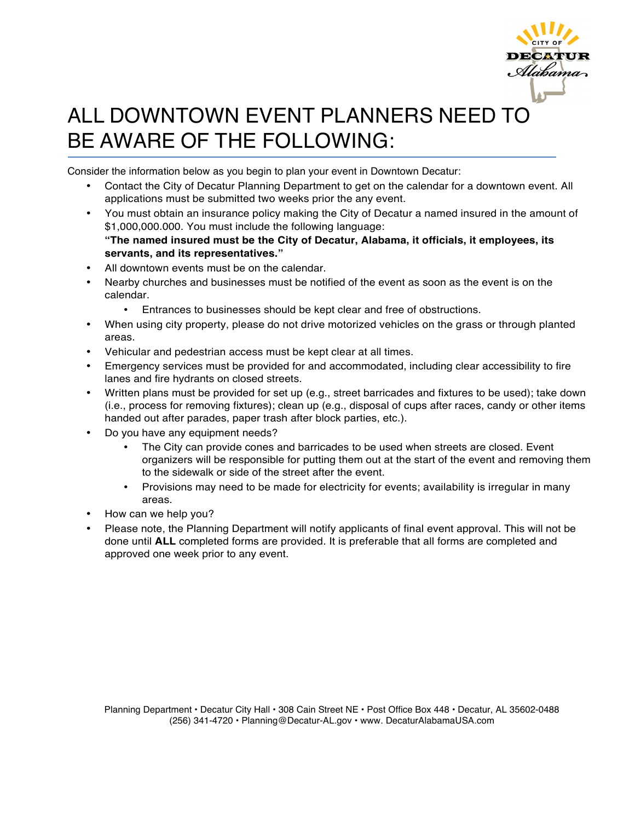

## ALL DOWNTOWN EVENT PLANNERS NEED TO BE AWARE OF THE FOLLOWING:

Consider the information below as you begin to plan your event in Downtown Decatur:

- Contact the City of Decatur Planning Department to get on the calendar for a downtown event. All applications must be submitted two weeks prior the any event.
- You must obtain an insurance policy making the City of Decatur a named insured in the amount of \$1,000,000.000. You must include the following language: **"The named insured must be the City of Decatur, Alabama, it officials, it employees, its servants, and its representatives."**
- All downtown events must be on the calendar.
- Nearby churches and businesses must be notified of the event as soon as the event is on the calendar.
	- Entrances to businesses should be kept clear and free of obstructions.
- When using city property, please do not drive motorized vehicles on the grass or through planted areas.
- Vehicular and pedestrian access must be kept clear at all times.
- Emergency services must be provided for and accommodated, including clear accessibility to fire lanes and fire hydrants on closed streets.
- Written plans must be provided for set up (e.g., street barricades and fixtures to be used); take down (i.e., process for removing fixtures); clean up (e.g., disposal of cups after races, candy or other items handed out after parades, paper trash after block parties, etc.).
- Do you have any equipment needs?
	- The City can provide cones and barricades to be used when streets are closed. Event organizers will be responsible for putting them out at the start of the event and removing them to the sidewalk or side of the street after the event.
	- Provisions may need to be made for electricity for events; availability is irregular in many areas.
- How can we help you?
- Please note, the Planning Department will notify applicants of final event approval. This will not be done until **ALL** completed forms are provided. It is preferable that all forms are completed and approved one week prior to any event.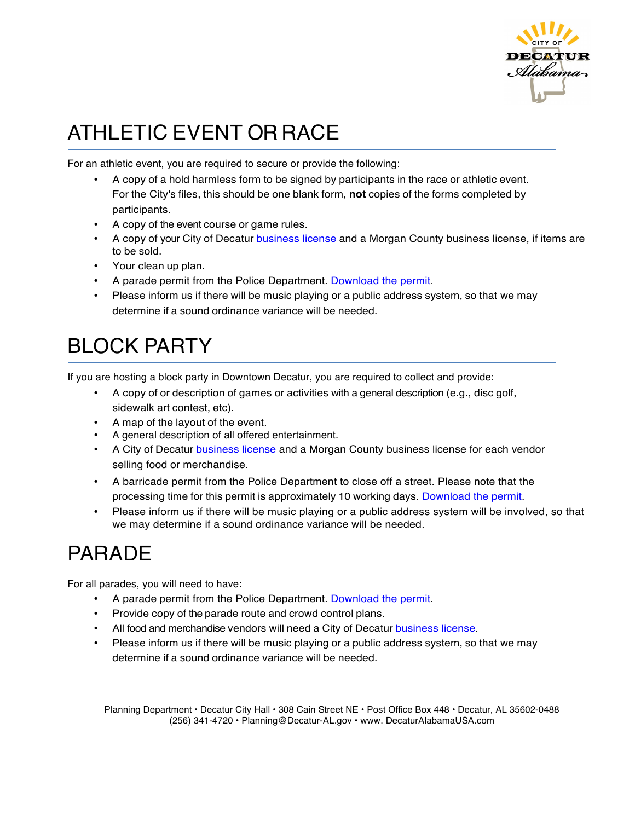

# ATHLETIC EVENT OR RACE

For an athletic event, you are required to secure or provide the following:

- A copy of a hold harmless form to be signed by participants in the race or athletic event. For the City's files, this should be one blank form, **not** copies of the forms completed by participants.
- A copy of the event course or game rules.
- A copy of your City of Decatur business license and a Morgan County business license, if items are to be sold.
- Your clean up plan.
- A parade permit from the Police Department. Download the permit.
- Please inform us if there will be music playing or a public address system, so that we may determine if a sound ordinance variance will be needed.

# BLOCK PARTY

If you are hosting a block party in Downtown Decatur, you are required to collect and provide:

- A copy of or description of games or activities with a general description (e.g., disc golf, sidewalk art contest, etc).
- A map of the layout of the event.
- A general description of all offered entertainment.
- A City of Decatur business license and a Morgan County business license for each vendor selling food or merchandise.
- A barricade permit from the Police Department to close off a street. Please note that the processing time for this permit is approximately 10 working days. Download the permit.
- Please inform us if there will be music playing or a public address system will be involved, so that we may determine if a sound ordinance variance will be needed.

## PARADE

For all parades, you will need to have:

- A parade permit from the Police Department. Download the permit.
- Provide copy of the parade route and crowd control plans.
- All food and merchandise vendors will need a City of Decatur business license.
- Please inform us if there will be music playing or a public address system, so that we may determine if a sound ordinance variance will be needed.

Planning Department • Decatur City Hall • 308 Cain Street NE • Post Office Box 448 • Decatur, AL 35602-0488 (256) 341-4720 • Planning@Decatur-AL.gov • www. DecaturAlabamaUSA.com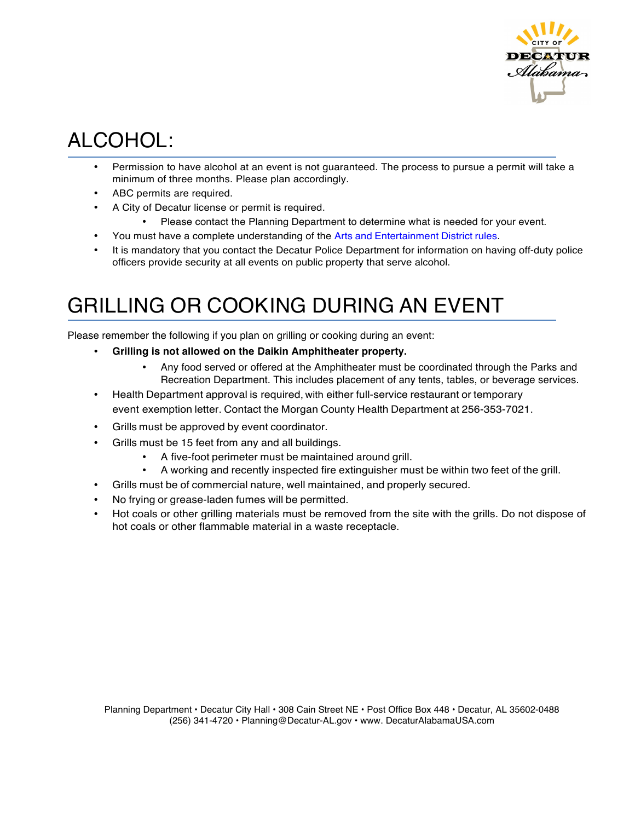

## ALCOHOL:

- Permission to have alcohol at an event is not guaranteed. The process to pursue a permit will take a minimum of three months. Please plan accordingly.
- ABC permits are required.
- A City of Decatur license or permit is required.
	- Please contact the Planning Department to determine what is needed for your event.
- You must have a complete understanding of the Arts and Entertainment District rules.
- It is mandatory that you contact the Decatur Police Department for information on having off-duty police officers provide security at all events on public property that serve alcohol.

### GRILLING OR COOKING DURING AN EVENT

Please remember the following if you plan on grilling or cooking during an event:

- **Grilling is not allowed on the Daikin Amphitheater property.**
	- Any food served or offered at the Amphitheater must be coordinated through the Parks and Recreation Department. This includes placement of any tents, tables, or beverage services.
- Health Department approval is required, with either full-service restaurant or temporary event exemption letter. Contact the Morgan County Health Department at 256-353-7021.
- Grills must be approved by event coordinator.
- Grills must be 15 feet from any and all buildings.
	- A five-foot perimeter must be maintained around grill.
	- A working and recently inspected fire extinguisher must be within two feet of the grill.
- Grills must be of commercial nature, well maintained, and properly secured.
- No frying or grease-laden fumes will be permitted.
- Hot coals or other grilling materials must be removed from the site with the grills. Do not dispose of hot coals or other flammable material in a waste receptacle.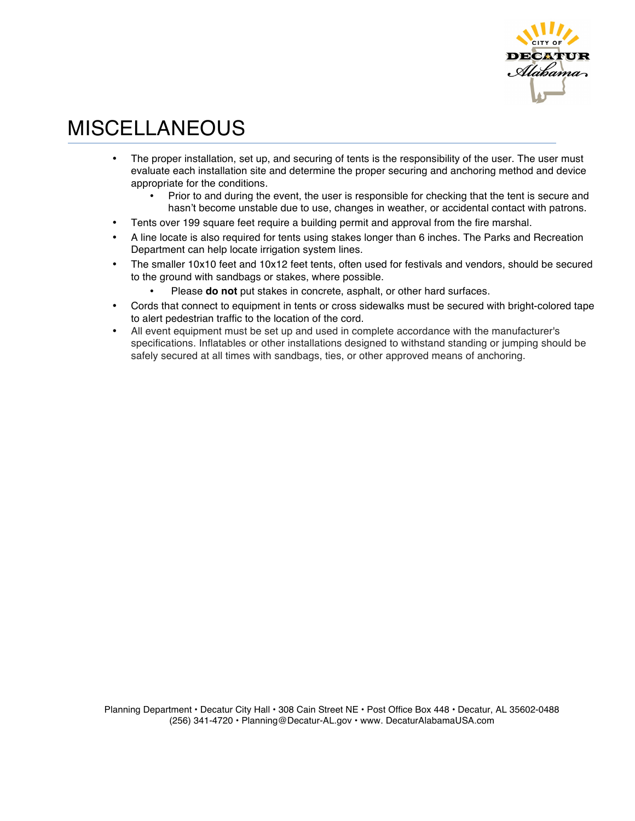

### MISCELLANEOUS

- The proper installation, set up, and securing of tents is the responsibility of the user. The user must evaluate each installation site and determine the proper securing and anchoring method and device appropriate for the conditions.
	- Prior to and during the event, the user is responsible for checking that the tent is secure and hasn't become unstable due to use, changes in weather, or accidental contact with patrons.
- Tents over 199 square feet require a building permit and approval from the fire marshal.
- A line locate is also required for tents using stakes longer than 6 inches. The Parks and Recreation Department can help locate irrigation system lines.
- The smaller 10x10 feet and 10x12 feet tents, often used for festivals and vendors, should be secured to the ground with sandbags or stakes, where possible.
	- Please **do not** put stakes in concrete, asphalt, or other hard surfaces.
- Cords that connect to equipment in tents or cross sidewalks must be secured with bright-colored tape to alert pedestrian traffic to the location of the cord.
- All event equipment must be set up and used in complete accordance with the manufacturer's specifications. Inflatables or other installations designed to withstand standing or jumping should be safely secured at all times with sandbags, ties, or other approved means of anchoring.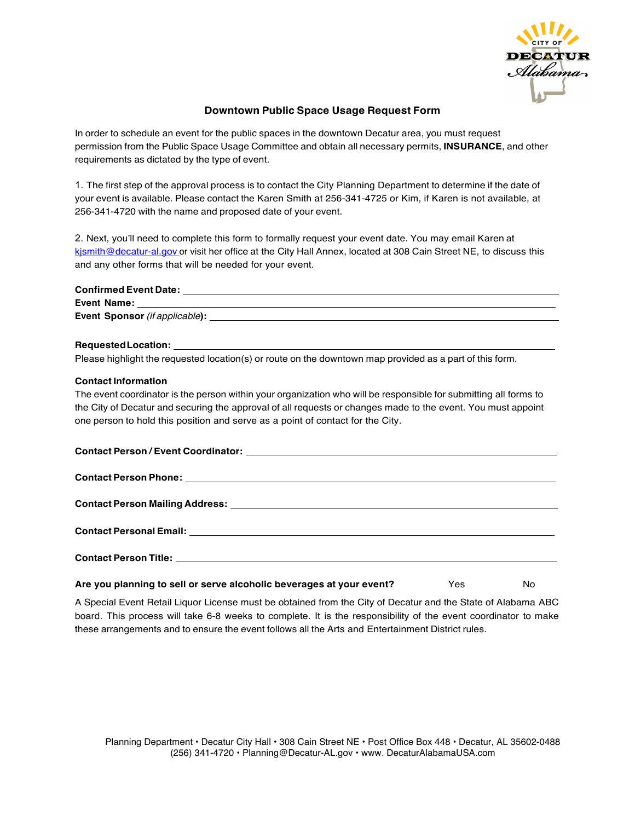

#### **Downtown Public Space Usage Request Form**

In order to schedule an event for the public spaces in the downtown Decatur area, you must request permission from the Public Space Usage Committee and obtain all necessary permits, **INSURANCE**, and other requirements as dictated by the type of event.

1. The first step of the approval process is to contact the City Planning Department to determine if the date of your event is available. Please contact the Karen Smith at 256-341-4725 or Kim, if Karen is not available, at 256-341-4720 with the name and proposed date of your event.

2. Next, you'll need to complete this form to formally request your event date. You may email Karen at kjsmith@decatur-al.gov or visit her office at the City Hall Annex, located at 308 Cain Street NE, to discuss this and any other forms that will be needed for your event.

| Please highlight the requested location(s) or route on the downtown map provided as a part of this form.         |     |     |
|------------------------------------------------------------------------------------------------------------------|-----|-----|
| <b>Contact Information</b>                                                                                       |     |     |
| The event coordinator is the person within your organization who will be responsible for submitting all forms to |     |     |
| the City of Decatur and securing the approval of all requests or changes made to the event. You must appoint     |     |     |
| one person to hold this position and serve as a point of contact for the City.                                   |     |     |
|                                                                                                                  |     |     |
|                                                                                                                  |     |     |
|                                                                                                                  |     |     |
|                                                                                                                  |     |     |
|                                                                                                                  |     |     |
|                                                                                                                  |     |     |
|                                                                                                                  |     |     |
|                                                                                                                  |     |     |
|                                                                                                                  |     |     |
| Are you planning to sell or serve alcoholic beverages at your event?                                             | Yes | No. |

A Special Event Retail Liquor License must be obtained from the City of Decatur and the State of Alabama ABC board. This process will take 6-8 weeks to complete. It is the responsibility of the event coordinator to make these arrangements and to ensure the event follows all the Arts and Entertainment District rules.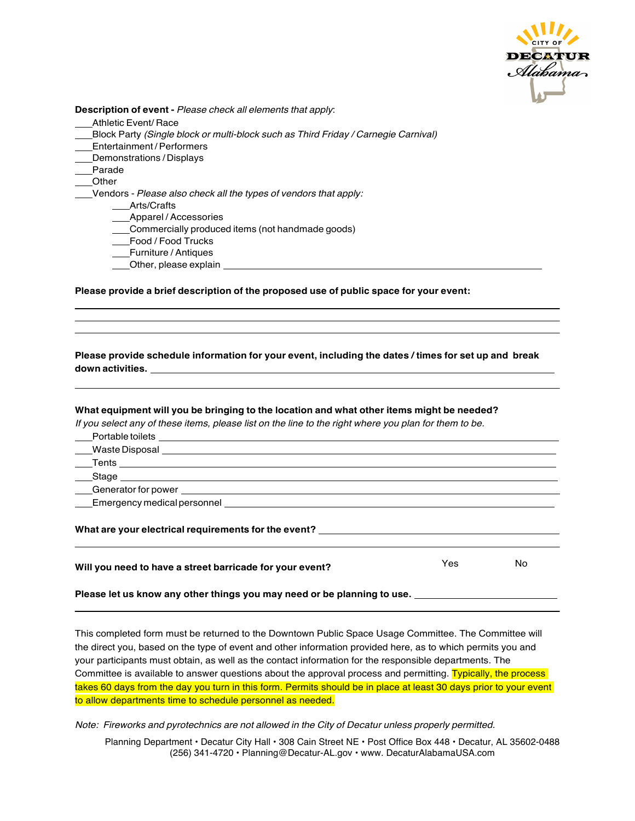

**Description of event -** *Please check all elements that apply*:

- Athletic Event/ Race
- Block Party *(Single block or multi-block such as Third Friday / Carnegie Carnival)*
- Entertainment / Performers
- Demonstrations / Displays
- Parade
- Other
	- Vendors *Please also check all the types of vendors that apply:*
		- \_\_\_Arts/Crafts
		- **Example 7 Accessories**
		- Commercially produced items (not handmade goods)
		- Food / Food Trucks
		- Furniture / Antiques
		- Other, please explain

**Please provide a brief description of the proposed use of public space for your event:**

**Please provide schedule information for your event, including the dates / times for set up and break down activities.**

#### **What equipment will you be bringing to the location and what other items might be needed?**

If you select any of these items, please list on the line to the right where you plan for them to be. Portable toilets

**Waste Disposal** 

- **Tents** *Contract Contract Contract Contract Contract Contract Contract Contract Contract Contract Contract Contract Contract Contract Contract Contract Contract Contract Contract Contract Contract Contract Contract Contr*
- $S$ tage  $\frac{1}{1-\frac{1}{2}}$

Generator for power

Emergency medical personnel

#### **What are your electrical requirements for the event?**

| Will you need to have a street barricade for your event? | Yes | No |
|----------------------------------------------------------|-----|----|
|----------------------------------------------------------|-----|----|

<u> 1980 - Johann Barn, mars ann an t-Amhain Aonaichte ann an t-Aonaichte ann an t-Aonaichte ann an t-Aonaichte a</u>

**Please let us know any other things you may need or be planning to use.**

This completed form must be returned to the Downtown Public Space Usage Committee. The Committee will the direct you, based on the type of event and other information provided here, as to which permits you and your participants must obtain, as well as the contact information for the responsible departments. The Committee is available to answer questions about the approval process and permitting. Typically, the process takes 60 days from the day you turn in this form. Permits should be in place at least 30 days prior to your event to allow departments time to schedule personnel as needed.

*Note: Fireworks and pyrotechnics are not allowed in the City of Decatur unless properly permitted.* 

Planning Department • Decatur City Hall • 308 Cain Street NE • Post Office Box 448 • Decatur, AL 35602-0488 (256) 341-4720 • Planning@Decatur-AL.gov • www. DecaturAlabamaUSA.com